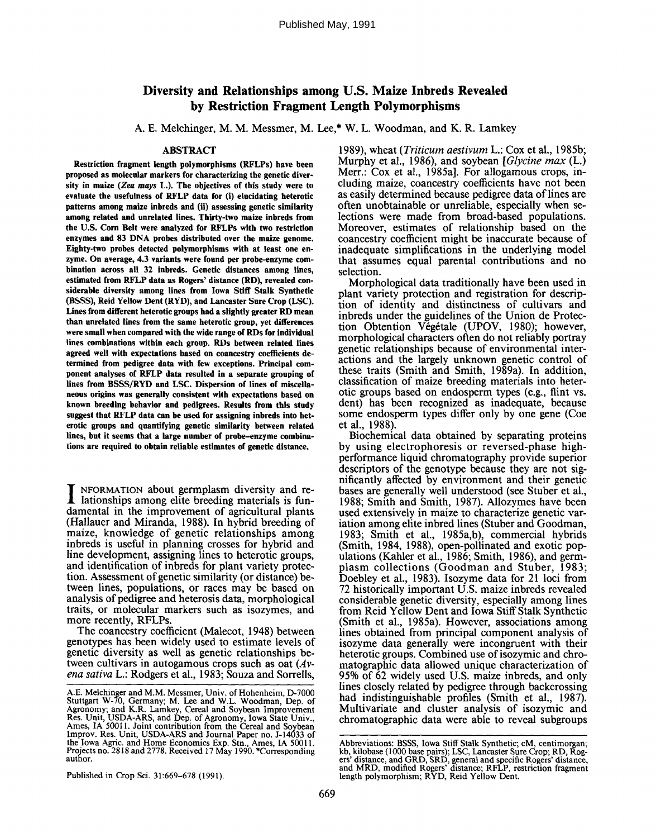# **Diversity and Relationships among U.S. Maize Inbreds Revealed by Restriction Fragment Length Polymorphisms**

A. E. Melchinger, M. M. Messmer, M. Lee,\* W. L. Woodman, and K. R. Lamkey

#### ABSTRACT

**Restriction fragment length polymorphisms (RFLPs) have been proposed as molecular markers for characterizing the genetic diversilt in maize** *(Zea mays* L.). **The objectives of this study were to evaluate the** usefulness of RFLP data for (i) **elucidating heterotic** patterns **among maize inbreds and** (ii) assessing **genetic similarity among related and unrelated lines. Thirty-two maize inbreds from the U.S. Corn** Belt were analyzed for RFLPs with two restriction **enzymes and** 83 DNA **probes distributed over the maize genome.** Eighty-two **probes detected polymorphisms with** at least **one enzyme. On average,** 4.3 variants **were found per probe-enzyme combination** across all 32 **inbreds. Genetic distances among** lines, **estimated from** RFLP data as **Rogers' distance (RD), revealed** considerable **diversity among lines from** Iowa Stiff Stalk **Synthetic** (BSSS), Reid Yellow Dent (RYD), **and Lancaster Sure Crop** (LSC). **Lines from different heterotic groups had a slightly greater RD mean than unrelated lines from the same heterotic group, yet differences were small when compared with the wide range** of RDs **for individual lines combinations within each group. RDs between related lines agreed well with expectations based on** coancestry coefficients **determined from pedigree data with** few exceptions. Principal component analyses of RFLP data resulted in a **separate grouping** of **lines from BSSS/RYD and LSC. Dispersion of lines** of miscellaneous **origins was generally consistent with expectations based on known breeding behavior and pedigrees. Results from this study suggest that** RFLP data can be used **for assigning inbreds into heterotic groups and quantifying genetic similarity between related** lines, **but it seems** that a **large number of probe-enzyme combinations are required to obtain reliable estimates of genetic** distance.

**I** NFORMATION about germplasm diversity and relationships among elite breeding materials is fundamental in the improvement of agricultural plants (Hallauer and Miranda, 1988). In hybrid breeding maize, knowledge of genetic relationships among inbreds is useful in planning crosses for hybrid and line development, assigning lines to heterotic groups, and identification of inbreds for plant variety protection. Assessment of genetic similarity (or distance) between lines, populations, or races may be based on analysis of pedigree and heterosis data, morphological traits, or molecular markers such as isozymes, and more recently, RFLPs.

The coancestry coefficient (Malecot, 1948) between genotypes has been widely used to estimate levels of genetic diversity as well as genetic relationships between cultivars in autogamous crops such as oat *(Avena sativa* L.: Rodgers et al., 1983; Souza and Sorrells,

1989), wheat *(Triticum aestivum* L.: Cox et al., 1985b; Murphy et al., 1986), and soybean *[Glycine max* (L.) Merr.: Cox et al., 1985a]. For allogamous crops, including maize, coancestry coefficients have not been as easily determined because pedigree data of lines are often unobtainable or unreliable, especially when selections were made from broad-based populations. Moreover, estimates of relationship based on the coancestry coefficient might be inaccurate because of inadequate simplifications in the underlying model that assumes equal parental contributions and no selection.

Morphological data traditionally have been used in plant variety protection and registration for description of identity and distinctness of cultivars and inbreds under the guidelines of the Union de Protection Obtention Végétale (UPOV, 1980); however, morphological characters often do not reliably portray genetic relationships because of environmental interactions and the largely unknown genetic control of these traits (Smith and Smith, 1989a). In addition, classification of maize breeding materials into heterotic groups based on endosperm types (e.g., flint vs. dent) has been recognized as inadequate, because some endosperm types differ only by one gene (Coe et al., 1988).

Biochemical data obtained by separating proteins by using electrophoresis or reversed-phase highperformance liquid chromatography provide superior descriptors of the genotype because they are not significantly affected by environment and their genetic bases are generally well understood (see Stuber et al., 1988; Smith and Smith, 1987). Allozymes have been used extensively in maize to characterize genetic variation among elite inbred lines (Stuber and Goodman, 1983; Smith et al., 1985a,b), commercial hybrids (Smith, 1984, 1988), open-pollinated and exotic populations (Kahler et al., 1986; Smith, 1986), and germplasm collections (Goodman and Stuber, 1983; Doebley et al., 1983). Isozyme data for 21 loci from 72 historically important U.S. maize inbreds revealed considerable genetic diversity, especially among lines from Reid Yellow Dent and Iowa Stiff Stalk Synthetic (Smith et al., 1985a). However, associations among lines obtained from principal component analysis of isozyme data generally were incongruent with their heterotic groups. Combined use of isozymic and chromatographic data allowed unique characterization of 95% of 62 widely used U.S. maize inbreds, and only lines closely related by pedigree through backcrossing had indistinguishable profiles (Smith et al., 1987). Multivariate and cluster analysis of isozymic and chromatographic data were able to reveal subgroups

Published in Crop Sci. 31:669-678 (1991).

A.E. Melchinger and M.M. Messmer, Univ. of Hohenheim, D-7000 Stuttgart W-70, Germany; M. Lee and W.L. Woodman, Dep. of Agronomy; and K.R. Lamkey, Cereal and Soybean Improvement Res. Unit, USDA-ARS, and Dep. of Agronomy, Iowa State Univ., Ames, IA 50011. Joint contribution from the Cereal and Soybean Improv. Res. Unit, USDA-ARS and Journal Paper no. J-14033 of the Iowa Agric. and Home Economics Exp. Stn., Ames, IA 50011. Projects no. 2818 and 2778. Received 17 May 1990. \*Corresponding author.

Abbreviations: BSSS, Iowa Stiff Stalk Synthetic; cM, centimorgan; kb, kilobase (1000 base pairs); LSC, Lancaster Sure Crop; RD, Rogers' distance, and GRD, SRD, general and specific Rogers' distance, and MRD, modified Rogers' distance; RFLP, restriction fragment length polymorphism; RYD, Reid Yellow Dent.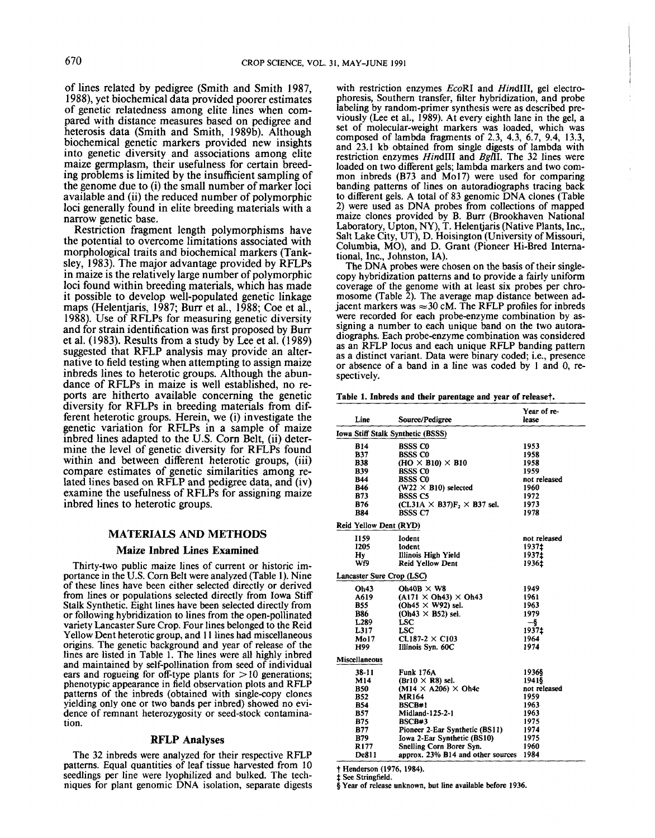of lines related by pedigree (Smith and Smith 1987, 1988), yet biochemical data provided poorer estimates of genetic relatedness among elite lines when compared with distance measures based on pedigree and heterosis data (Smith and Smith, 1989b). Although biochemical genetic markers provided new insights into genetic diversity and associations among elite maize germplasm, their usefulness for certain breeding problems is limited by the insufficient sampling of the genome due to (i) the small number of marker loci available and (ii) the reduced number of polymorphic loci generally found in elite breeding materials with a narrow genetic base.

Restriction fragment length polymorphisms have the potential to overcome limitations associated with morphological traits and biochemical markers (Tanksley, 1983). The major advantage provided by RFLPs in maize is the relatively large number of polymorphic loci found within breeding materials, which has made it possible to develop well-populated genetic linkage maps (Helentjaris, 1987; Burr et al., 1988; Coe et al., 1988). Use of RFLPs for measuring genetic diversity and for strain identification was first proposed by Burr et al. (1983). Results from a study by Lee et al. (1989) suggested that RFLP analysis may provide an alternative to field testing when attempting to assign maize inbreds lines to heterotic groups. Although the abundance of RFLPs in maize is well established, no reports are hitherto available concerning the genetic diversity for RFLPs in breeding materials from different heterotic groups. Herein, we (i) investigate the genetic variation for RFLPs in a sample of maize inbred lines adapted to the U.S. Corn Belt, (ii) determine the level of genetic diversity for RFLPs found within and between different heterotic groups, (iii) compare estimates of genetic similarities among related lines based on RFLP and pedigree data, and (iv) examine the usefulness of RFLPs for assigning maize inbred lines to heterotic groups.

#### MATERIALS AND METHODS

# **Maize Inbred Lines Examined**

Thirty-two public maize lines of current or historic importance in the U.S. Corn Belt were analyzed (Table 1). Nine of these lines have been either selected directly or derived from lines or populations selected directly from Iowa Stiff Stalk Synthetic. Eight lines have been selected directly from or following hybridization to lines from the open-pollinated variety Lancaster Sure Crop. Four lines belonged to the Reid Yellow Dent heterotic group, and 11 lines had miscellaneous origins. The genetic background and year of release of the lines are listed in Table 1. The lines were all highly inbred and maintained by self-pollination from seed of individual ears and rogueing for off-type plants for  $> 10$  generations; phenotypic appearance in field observation plots and RFLP patterns of the inbreds (obtained with single-copy clones yielding only one or two bands per inbred) showed no evidence of remnant heterozygosity or seed-stock contamination.

# RFLP **Analyses**

The 32 inbreds were analyzed for their respective RFLP patterns. Equal quantities of leaf tissue harvested from I0 seedlings per line were lyophilized and bulked. The techniques for plant genomic DNA isolation, separate digests with restriction enzymes *EcoRI* and *HindlII,* gel electrophoresis, Southern transfer, filter hybridization, and probe labeling by random-primer synthesis were as described previously (Lee et al., 1989). At every eighth lane in the gel, set of molecular-weight markers was loaded, which **was** composed of lambda fragments of 2.3, 4.3, 6.7, 9.4, 13.3, and 23.1 kb obtained from single digests of lambda with restriction enzymes *HindIII* and *BglII.* The 32 lines were loaded on two different gels; lambda markers and two common inbreds (B73 and Mo17) were used for comparing banding patterns of lines on autoradiographs tracing back to different gels. A total of 83 genomic DNA clones (Table 2) were used as DNA probes from collections of mapped maize clones provided by B. Burr (Brookhaven National Laboratory, Upton, NY), T. Helentjaris (Native Plants, Inc., Salt Lake City, UT), D. Hoisington (University of Missouri, Columbia, MO), and D. Grant (Pioneer Hi-Bred International, Inc., Johnston, IA).

The DNA probes were chosen on the basis of their singlecopy hybridization patterns and to provide a fairly uniform coverage of the genome with at least six probes per chromosome (Table 2). The average map distance between adjacent markers was  $\approx 30$  cM. The RFLP profiles for inbreds were recorded for each probe-enzyme combination by assigning a number to each unique band on the two autoradiographs. Each probe-enzyme combination was considered as an RFLP locus and each unique RFLP banding pattern as a distinct variant. Data were binary coded; i.e., presence or absence of a band in a line was coded by 1 and 0, respectively.

Table 1. Inbreds and their parentage and year of release†.

| Line                      | Source/Pedigree                                       | Year of re-<br>lease |  |  |
|---------------------------|-------------------------------------------------------|----------------------|--|--|
|                           |                                                       |                      |  |  |
|                           | <b>Iowa Stiff Stalk Synthetic (BSSS)</b>              |                      |  |  |
| <b>B14</b>                | <b>BSSS CO</b>                                        | 1953                 |  |  |
| <b>B37</b>                | <b>BSSS CO</b>                                        | 1958                 |  |  |
| <b>B38</b>                | $(HO \times B10) \times B10$                          | 1958                 |  |  |
| <b>B39</b>                | <b>BSSS CO</b>                                        | 1959                 |  |  |
| <b>B44</b>                | <b>BSSS CO</b>                                        | not released         |  |  |
| <b>B46</b>                | $(W22 \times B10)$ selected                           | 1960                 |  |  |
| <b>B73</b>                | <b>BSSS C5</b>                                        | 1972                 |  |  |
| <b>B76</b>                | (CI.31A $\times$ B37)F <sub>2</sub> $\times$ B37 sel. | 1973                 |  |  |
| <b>B84</b>                | <b>BSSS C7</b>                                        | 1978                 |  |  |
| Reid Yellow Dent (RYD)    |                                                       |                      |  |  |
| I159                      | Iodent                                                | not released         |  |  |
| 1205                      | Iodent                                                | 1937±                |  |  |
| Hv                        | Illinois High Yield                                   | 1937±                |  |  |
| Wf9                       | <b>Reid Yellow Dent</b>                               | 1936±                |  |  |
| Lancaster Sure Crop (LSC) |                                                       |                      |  |  |
| Oh43                      | Oh40B $\times$ W8                                     | 1949                 |  |  |
| A619                      | $(A171 \times Oh43) \times Oh43$                      | 1961                 |  |  |
| B55                       | $(Oh45 \times W92)$ sel.                              | 1963                 |  |  |
| <b>B86</b>                | $(Oh43 \times B52)$ sel.                              | 1979                 |  |  |
| L289                      | <b>LSC</b>                                            | $-$ §                |  |  |
| L317                      | <b>LSC</b>                                            | 1937‡                |  |  |
| Mo17                      | $CL187-2 \times C103$                                 | 1964                 |  |  |
| H99                       | Illinois Syn. 60C                                     | 1974                 |  |  |
| <b>Miscellaneous</b>      |                                                       |                      |  |  |
| 38-11                     | <b>Funk 176A</b>                                      | 1936§                |  |  |
| M14                       | $(Br10 \times R8)$ sel.                               | 1941§                |  |  |
| <b>B50</b>                | $(M14 \times A206) \times Oh4c$                       | not released         |  |  |
| <b>B52</b>                | <b>MR164</b>                                          | 1959                 |  |  |
| <b>B54</b>                | BSCB#1                                                | 1963                 |  |  |
| <b>B57</b>                | Midland-125-2-1                                       | 1963                 |  |  |
| <b>B75</b>                | BSCB#3                                                | 1975                 |  |  |
| <b>B77</b>                | Pioneer 2-Ear Synthetic (BS11)                        | 1974                 |  |  |
| B79                       | Iowa 2-Ear Synthetic (BS10)                           | 1975                 |  |  |
| R177                      | Snelling Corn Borer Syn.                              | 1960                 |  |  |
| De811                     | approx. 23% B14 and other sources                     | 1984                 |  |  |

Henderson (1976, 1984). See Stringfield.

Year **of release unknown, but** line available before 1936.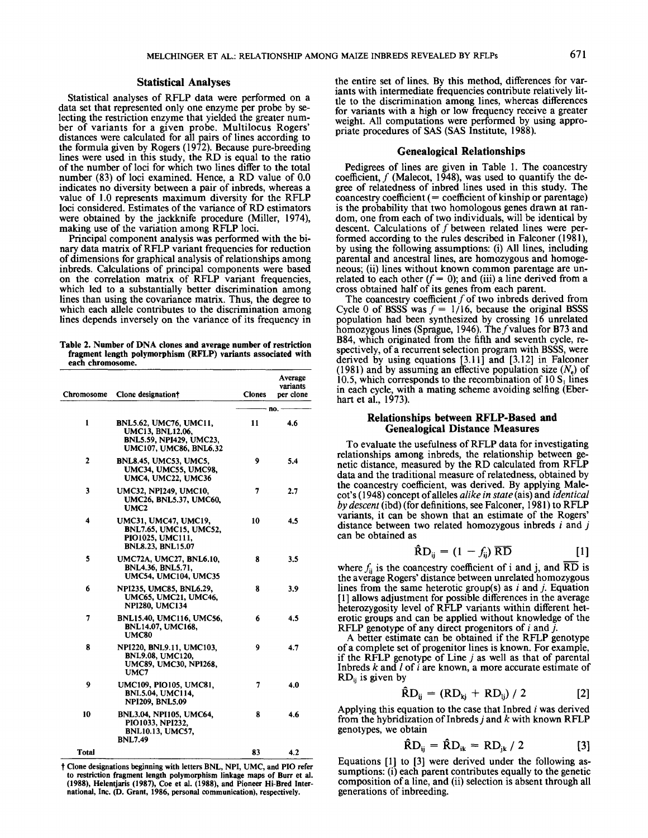## Statistical **Analyses**

Statistical analyses of RFLP data were performed on a data set that represented only one enzyme per probe by selecting the restriction enzyme that yielded the greater number of variants for a given probe. Multilocus Rogers' distances were calculated for all pairs of lines according to the formula given by Rogers (1972). Because pure-breeding lines were used in this study, the RD is equal to the ratio of the number of loci for which two lines differ to the total number (83) of loci examined. Hence, a RD value of 0.0 indicates no diversity between a pair of inbreds, whereas a value of 1.0 represents maximum diversity for the RFLP loci considered. Estimates of the variance of RD estimators were obtained by the jackknife procedure (Miller, 1974), making use of the variation among RFLP loci.

Principal component analysis was performed with the binary data matrix of RFLP variant frequencies for reduction of dimensions for graphical analysis of relationships among inbreds. Calculations of principal components were based on the correlation matrix of RFLP variant frequencies, which led to a substantially better discrimination among lines than using the covariance matrix. Thus, the degree to which each allele contributes to the discrimination among lines depends inversely on the variance of its frequency in

**Table** 2. Number of DNA **clones and average number of restriction fragment length polymorphism** (RFLP) variants **associated with each chromosome.**

| Chromosome     | Clone designation <sup>†</sup>                                                                                       | <b>Clones</b> | Average<br>variants<br>per clone |
|----------------|----------------------------------------------------------------------------------------------------------------------|---------------|----------------------------------|
|                |                                                                                                                      |               | · no.                            |
| 1              | <b>BNL5.62, UMC76, UMC11,</b><br><b>UMC13, BNL12.06,</b><br><b>BNL5.59, NPI429, UMC23,</b><br>UMC107, UMC86, BNL6,32 | 11            | 4.6                              |
| $\overline{2}$ | <b>BNL8.45, UMC53, UMC5,</b><br><b>UMC34, UMC55, UMC98,</b><br>UMC4, UMC22, UMC36                                    | 9             | 5.4                              |
| 3              | <b>UMC32, NPI249, UMC10,</b><br>UMC26, BNL5.37, UMC60,<br>UMC <sub>2</sub>                                           | 7             | 2.7                              |
| 4              | UMC31, UMC47, UMC19,<br><b>BNL7.65, UMC15, UMC52,</b><br>PIO1025, UMC111,<br><b>BNL8.23, BNL15.07</b>                | 10            | 4.5                              |
| 5              | UMC72A, UMC27, BNL6.10,<br>BNL4.36, BNL5.71,<br><b>UMC54, UMC104, UMC35</b>                                          | 8             | 3.5                              |
| 6              | NPI235, UMC85, BNL6.29,<br>UMC65, UMC21, UMC46,<br><b>NPI280, UMC134</b>                                             | 8             | 3.9                              |
| 7              | BNL15.40, UMC116, UMC56,<br><b>BNL14.07, UMC168,</b><br><b>UMC80</b>                                                 | 6             | 4.5                              |
| 8              | NPI220, BNL9.11, UMC103,<br><b>BNL9.08, UMC120,</b><br>UMC89, UMC30, NPI268,<br>UMC7                                 | 9             | 4.7                              |
| 9              | UMC109, PIO105, UMC81,<br><b>BNL5.04, UMC114,</b><br><b>NPI209, BNL5.09</b>                                          | 7             | 4.0                              |
| 10             | BNL3.04, NPI105, UMC64,<br>PIO1033, NPI232,<br><b>BNL10.13, UMC57,</b><br><b>BNL7.49</b>                             | 8             | 4.6                              |
| <b>Total</b>   |                                                                                                                      | 83            | 4.2                              |

Clone designations beginning with letters BNL, NPI, UMC, and PIO **refer** to **restriction fragment length polymorphism linkage maps** of Burr et al. (1988), Helentjaris (1987), **Coe et** al. (1988), **and Pioneer Hi-Bred International,** Inc. (D. Grant, 1986, personal communication), respectively.

the entire set of lines. By this method, differences for variants with intermediate frequencies contribute relatively little to the discrimination among lines, whereas differences for variants with a high or low frequency receive a greater weight. All computations were performed by using appropriate procedures of SAS (SAS Institute, 1988).

#### **Genealogical Relationships**

Pedigrees of lines are given in Table 1. The coancestry coefficient,  $f$  (Malecot, 1948), was used to quantify the degree of relatedness of inbred lines used in this study. The  $\overline{\text{coance}}$  coefficient (= coefficient of kinship or parentage) is the probability that two homologous genes drawn at random, one from each of two individuals, will be identical by descent. Calculations of  $f$  between related lines were performed according to the rules described in Falconer (1981), by using the following assumptions: (i) All lines, including parental and ancestral lines, are homozygous and homogeneous; (ii) lines without known common parentage are unrelated to each other  $(f = 0)$ ; and (iii) a line derived from a cross obtained half of its genes from each parent.

The coancestry coefficient  $f$  of two inbreds derived from Cycle 0 of BSSS was  $f = 1/16$ , because the original BSSS population had been synthesized by crossing 16 unrelated homozygous lines (Sprague, 1946). The f values for B73 and B84, which originated from the fifth and seventh cycle, respectively, of a recurrent selection program with BSSS, were derived by using equations [3.11] and [3.12] in Falconer (1981) and by assuming an effective population size  $(N_e)$  of 10.5, which corresponds to the recombination of 10  $S<sub>1</sub>$  lines in each cycle, with a mating scheme avoiding selfing (Eberhart et al., 1973).

#### **Relationships between RFLP-Based and Genealogical Distance Measures**

To evaluate the usefulness of RFLP data for investigating relationships among inbreds, the relationship between genetic distance, measured by the RD calculated from RFLP data and the traditional measure of relatedness, obtained by the coancestry coefficient, was derived. By applying Malecot's (1948) concept of alleles *alike in state* (ais) and *identical* by descent (ibd) (for definitions, see Falconer, 1981) to RFLP variants, it can be shown that an estimate of the Rogers' distance between two related homozygous inbreds  $i$  and  $j$ can be obtained as

$$
\hat{\mathbf{R}}\mathbf{D}_{ii} = (1 - f_{ii})\overline{\mathbf{R}}\overline{\mathbf{D}} \tag{1}
$$

where  $f_{ij}$  is the coancestry coefficient of i and j, and  $\overline{RD}$  is the average Rogers' distance between unrelated homozygous lines from the same heterotic group(s) as  $i$  and  $j$ . Equation [ 1] allows adjustment for possible differences in the average heterozygosity level of RFLP variants within different heterotic groups and can be applied without knowledge of the RFLP genotype of any direct progenitors of  $i$  and  $j$ .

A better estimate can be obtained if the RFLP genotype of a complete set of progenitor lines is known. For example, if the RFLP genotype of Line  $j$  as well as that of parental Inbreds  $k$  and  $l$  of  $i$  are known, a more accurate estimate of  $RD_{ii}$  is given by

$$
\hat{R}D_{ij} = (RD_{ki} + RD_{li}) / 2
$$
 [2]

Applying this equation to the case that Inbred  $i$  was derived from the hybridization of Inbreds j and  $k$  with known RFLP genotypes, we obtain

$$
\hat{R}D_{ij} = \hat{R}D_{ik} = RD_{jk} / 2
$$
 [3]

Equations [1] to [3] were derived under the following assumptions: (i) each parent contributes equally to the genetic composition of a line, and (ii) selection is absent through all generations of inbreeding.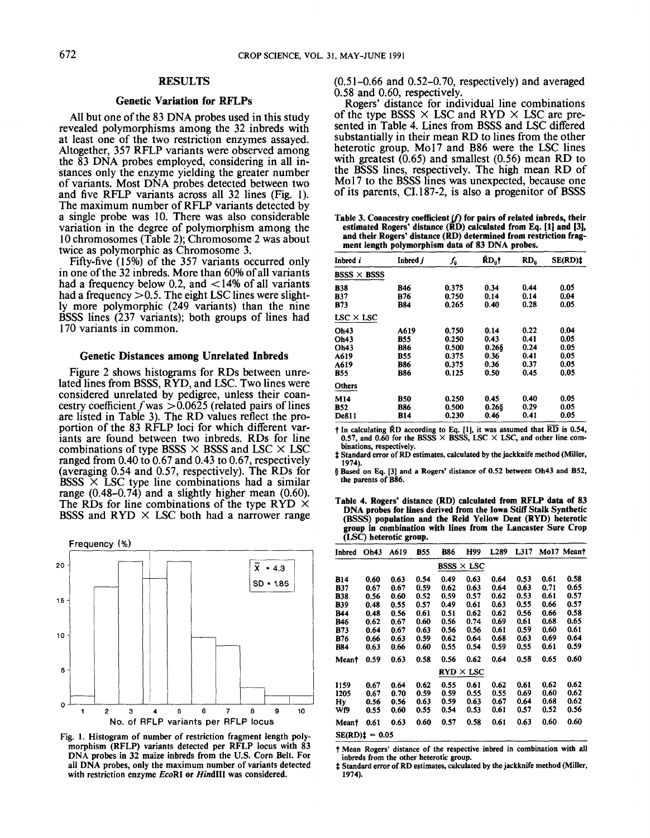# **RESULTS**

#### **Genetic Variation for** RFLPs

All but one of the 83 DNA probes used in this study revealed polymorphisms among the 32 inbreds with at least one of the two restriction enzymes assayed. Altogether, 357 RFLP variants were observed among the 83 DNA probes employed, considering in all instances only the enzyme yielding the greater number of variants. Most DNA probes detected between two and five RFLP variants across all 32 lines (Fig. 1). The maximum number of RFLP variants detected by a single probe was 10. There was also considerable variation in the degree of polymorphism among the 10 chromosomes (Table 2); Chromosome 2was about twice as polymorphic as Chromosome 3.

Fifty-five (15%) of the 357 variants occurred only in one of the 32 inbreds. More than 60% of all variants had a frequency below 0.2, and  $\lt 14\%$  of all variants had a frequency  $> 0.5$ . The eight LSC lines were slightly more polymorphic (249 variants) than the nine BSSS lines (237 variants); both groups of lines had 170 variants in common.

# **Genetic Distances among Unrelated Inbreds**

Figure 2 shows histograms for RDs between unrelated lines from BSSS, RYD, and LSC. Two lines were considered unrelated by pedigree, unless their coancestry coefficient f was  $> 0.0625$  (related pairs of lines are listed in Table 3). The RD values reflect the proportion of the 83 RFLP loci for which different variants are found between two inbreds. RDs for line combinations of type BSSS  $\times$  BSSS and LSC  $\times$  LSC ranged from 0.40 to 0.67 and 0.43 to 0.67, respectively (averaging 0.54 and 0.57, respectively). The RDs for BSSS  $\times$  LSC type line combinations had a similar range (0.48-0.74) and a slightly higher mean (0.60). The RDs for line combinations of the type RYD  $\times$ BSSS and RYD  $\times$  LSC both had a narrower range



Fig. 1. Histogram of number of restriction fragment length polymorphism (RFLP) variants detected per RFLP locus with 83 DNA probes in 32 maize inbreds from the U.S. Corn Belt. **For** all DNA probes, only the maximum number of variants detected with restriction enzyme *EcoRI* or *HindIII* was **considered.**

 $(0.51-0.66$  and  $0.52-0.70$ , respectively) and averaged 0.58 and 0.60, respectively.

Rogers' distance for individual line combinations of the type BSSS  $\times$  LSC and RYD  $\times$  LSC are presented in Table 4. Lines from BSSS and LSC differed substantially in their mean RD to lines from the other heterotic group. Mo17 and B86 were the LSC lines with greatest  $(0.65)$  and smallest  $(0.56)$  mean RD to the BSSS lines, respectively. The high mean RD of Mo<sub>17</sub> to the BSSS lines was unexpected, because one of its parents, CI. 187-2, is also a progenitor of BSSS

Table 3. Coancestry coefficient (*f*) for pairs of related inbreds, their estimated Rogers' distance (RD) calculated from Eq. [1] and [3], **and their Rogers' distance (RD) determined from restriction fragment length polymorphism data of** 83 DNA **probes.**

| Inbred <i>i</i>    | Inbred j   | ſ.    | ŔD <sub>ü</sub> † | RD <sub>ii</sub> | SE(RD): |
|--------------------|------------|-------|-------------------|------------------|---------|
| $BSSS \times BSSS$ |            |       |                   |                  |         |
| <b>B38</b>         | B46        | 0.375 | 0.34              | 0.44             | 0.05    |
| B37                | B76        | 0.750 | 0.14              | 0.14             | 0.04    |
| <b>B73</b>         | <b>B84</b> | 0.265 | 0.40              | 0.28             | 0.05    |
| $LSC \times LSC$   |            |       |                   |                  |         |
| Oh43               | A619       | 0.750 | 0.14              | 0.22             | 0.04    |
| Oh43               | B55        | 0.250 | 0.43              | 0.41             | 0.05    |
| Oh43               | <b>B86</b> | 0.500 | 0.266             | 0.24             | 0.05    |
| A619               | B55        | 0.375 | 0.36              | 0.41             | 0.05    |
| A619               | B86        | 0.375 | 0.36              | 0.37             | 0.05    |
| <b>B55</b>         | B86        | 0.125 | 0.50              | 0.45             | 0.05    |
| Others             |            |       |                   |                  |         |
| M14                | B50        | 0.250 | 0.45              | 0.40             | 0.05    |
| <b>B52</b>         | B86        | 0.500 | $0.26$ §          | 0.29             | 0.05    |
| <b>De811</b>       | B14        | 0.230 | 0.46              | 0.41             | 0.05    |

In calculating RD according to Eq.  $\{1\}$ , it was assumed that RD is 0.54, 0.57, and 0.60 for the BSSS  $\times$  BSSS, LSC  $\times$  LSC, and other line com**binations, respectively.**

Standard error of RD **estimates, calculated by the jackknife method (Miller,** 1974).

§ Based on Eq. [3] and a Rogers' distance of 0.52 between Oh43 and B52, the parents of B86.

**Table 4. Rogers' distance (RD) calculated from** RFLP data of 83 DNA **probes for lines derived from the Iowa Stiff Stalk Synthetic** (BSSS) **population and the Reid** Yellow Dent (RYD) **heterotic group in combination with lines from the Lancaster Sure Crop** (LSC) **heterotic group.**

| Inbred       | Oh43            | A619 | B55  | B86  | H99               | L <sub>289</sub> | L317 |      | Mo17 Meant |
|--------------|-----------------|------|------|------|-------------------|------------------|------|------|------------|
|              |                 |      |      |      | $BSSS \times LSC$ |                  |      |      |            |
| B14          | 0.60            | 0.63 | 0.54 | 0.49 | 0.63              | 0.64             | 0.53 | 0.61 | 0.58       |
| <b>B37</b>   | 0.67            | 0.67 | 0.59 | 0.62 | 0.63              | 0.64             | 0.63 | 0.71 | 0.65       |
| <b>B38</b>   | 0.56            | 0.60 | 0.52 | 0.59 | 0.57              | 0.62             | 0.53 | 0.61 | 0.57       |
| B39          | 0.48            | 0.55 | 0.57 | 0.49 | 0.61              | 0.63             | 0.55 | 0.66 | 0.57       |
| B44          | 0.48            | 0.56 | 0.61 | 0.51 | 0.62              | 0.62             | 0.56 | 0.66 | 0.58       |
| B46          | 0.62            | 0.67 | 0.60 | 0.56 | 0.74              | 0.69             | 0.61 | 0.68 | 0.65       |
| <b>B73</b>   | 0.64            | 0.67 | 0.63 | 0.56 | 0.56              | 0.61             | 0.59 | 0.60 | 0.61       |
| B76          | 0.66            | 0.63 | 0.59 | 0.62 | 0.64              | 0.68             | 0.63 | 0.69 | 0.64       |
| <b>B84</b>   | 0.63            | 0.66 | 0.60 | 0.55 | 0.54              | 0.59             | 0.55 | 0.61 | 0.59       |
| <b>Meant</b> | 0.59            | 0.63 | 0.58 | 0.56 | 0.62              | 0.64             | 0.58 | 0.65 | 0.60       |
|              |                 |      |      |      | $RYD \times LSC$  |                  |      |      |            |
| I159         | 0.67            | 0.64 | 0.62 | 0.55 | 0.61              | 0.62             | 0.61 | 0.62 | 0.62       |
| 1205         | 0.67            | 0.70 | 0.59 | 0.59 | 0.55              | 0.55             | 0.69 | 0.60 | 0.62       |
| Hy           | 0.56            | 0.56 | 0.63 | 0.59 | 0.63              | 0.67             | 0.64 | 0.68 | 0.62       |
| Wf9          | 0.55            | 0.60 | 0.55 | 0.54 | 0.53              | 0.61             | 0.57 | 0.52 | 0.56       |
| Meant        | 0.61            | 0.63 | 0.60 | 0.57 | 0.58              | 0.61             | 0.63 | 0.60 | 0.60       |
|              | $SE(RD) = 0.05$ |      |      |      |                   |                  |      |      |            |

**Mean Rogers' distance of the respective inbred in combination** with all **inbreds from the other heterotie group.**

Standard error of RD estimates, calculated **by the jackknife method** (Miller, 1974).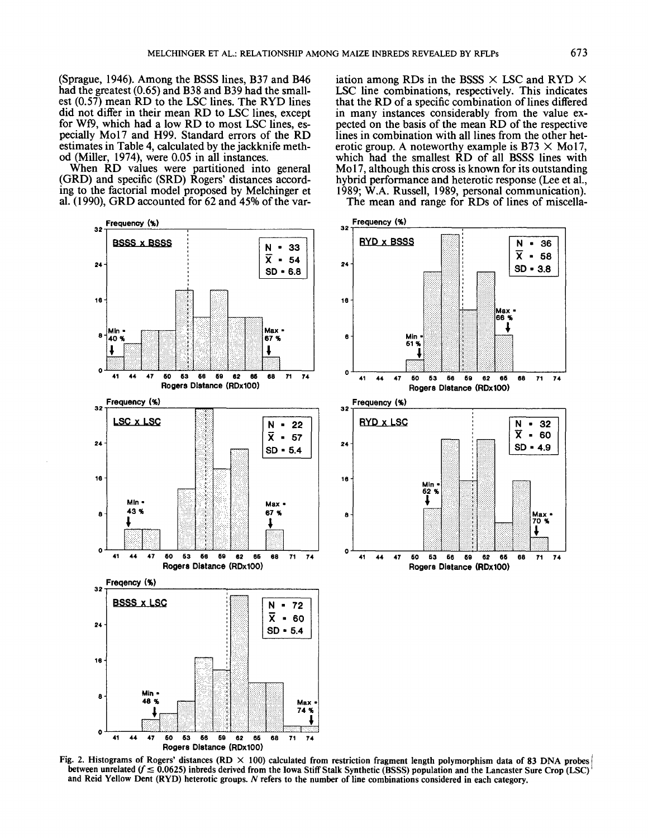(Sprague, 1946). Among the BSSS lines, B37 and B46 had the greatest (0.65) and B38 and B39 had the smallest (0.57) mean RD to the LSC lines. The RYD lines did not differ in their mean RD to LSC lines, except for Wf9, which had a low RD to most LSC lines, especially Mo17 and H99. Standard errors of the RD estimates in Table 4, calculated by the jackknife method (Miller, 1974), were 0.05 in all instances.

When RD values were partitioned into general (GRD) and specific (SRD) Rogers' distances according to the factorial model proposed by Melchinger et al. (1990), GRD accounted for 62 and 45% of the variation among RDs in the BSSS  $\times$  LSC and RYD  $\times$ LSC line combinations, respectively. This indicates that the RD of a specific combination of lines differed in many instances considerably from the value expected on the basis of the mean RD of the respective lines in combination with all lines from the other heterotic group. A noteworthy example is B73  $\times$  Mo17, which had the smallest RD of all BSSS lines with Mo17, although this cross is known for its outstanding hybrid performance and heterotic response (Lee et al., 1989; W.A. Russell, 1989, personal communication). The mean and range for RDs of lines of miscella-



Fig. 2. Histograms of Rogers' distances (RD  $\times$  100) calculated from restriction fragment length polymorphism data of 83 DNA probes between unrelated  $(f \le 0.0625)$  inbreds derived from the Iowa Stiff Stalk Synthetic (BSSS) population and the Lancaster Sure Crop (LSC) and Reid Yellow Dent (RYD) heterotic groups. N refers to the number of line combinations considered in each category.

 $71$ 74

32

60

Max 70  $\mathbf{q}$ 

 $71$ 74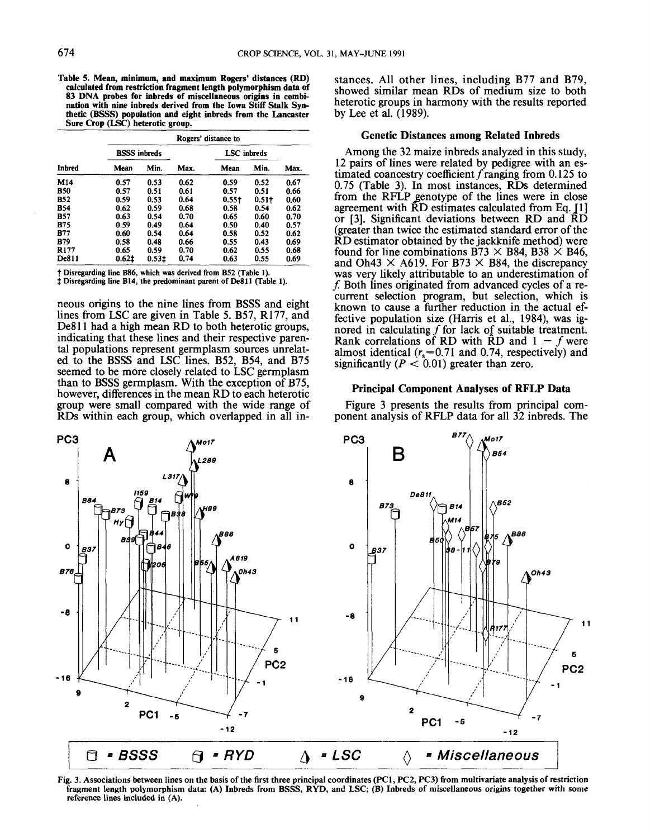Table 5. **Mean, minimum, and maximum Rogers' distances** (RD) calculated **from restriction fragment length polymorphism** data of 83 DNA **probes for inbreds of miscellaneous origins in combination with nine inbreds derived from the Iowa** Stiff Stalk Synthetic **(BSSS) population and eight inbreds from the Lancaster Sure Crop (LSC) heterotic** group.

| <b>Inbred</b> |                     | Rogers' distance to |      |                    |       |      |  |  |
|---------------|---------------------|---------------------|------|--------------------|-------|------|--|--|
|               | <b>BSSS</b> inbreds |                     |      | <b>LSC</b> inbreds |       |      |  |  |
|               | Mean                | Min.                | Max. | Mean               | Min.  | Max. |  |  |
| M14           | 0.57                | 0.53                | 0.62 | 0.59               | 0.52  | 0.67 |  |  |
| B50           | 0.57                | 0.51                | 0.61 | 0.57               | 0.51  | 0.66 |  |  |
| <b>B52</b>    | 0.59                | 0.53                | 0.64 | 0.55†              | 0.51† | 0.60 |  |  |
| B54           | 0.62                | 0.59                | 0.68 | 0.58               | 0.54  | 0.62 |  |  |
| B57           | 0.63                | 0.54                | 0.70 | 0.65               | 0.60  | 0.70 |  |  |
| <b>B</b> 75   | 0.59                | 0.49                | 0.64 | 0.50               | 0.40  | 0.57 |  |  |
| B77           | 0.60                | 0.54                | 0.64 | 0.58               | 0.52  | 0.62 |  |  |
| B79           | 0.58                | 0.48                | 0.66 | 0.55               | 0.43  | 0.69 |  |  |
| R177          | 0.65                | 0.59                | 0.70 | 0.62               | 0.55  | 0.68 |  |  |
| <b>De811</b>  | 0.621               | 0.531               | 0.74 | 0.63               | 0.55  | 0.69 |  |  |

Disregarding line B86, which was derived from B52 (Table 1).

**Disregarding line B14, the predominant parent** of De811 (Table 1).

neous origins to the nine lines from BSSS and eight lines from LSC are given in Table 5. B57, R177, and De811 had a high mean RD to both heterotic groups, indicating that these lines and their respective parental populations represent germplasm sources unrelated to the BSSS and LSC lines. B52, B54, and B75 seemed to be more closely related to LSC germplasm than to BSSS germplasm. With the exception of B75, however, differences in the mean RD to each heterotic group were small compared with the wide range of RDs within each group, which overlapped in all instances. All other lines, including B77 and B79, showed similar mean RDs of medium size to both heterotic groups in harmony with the results reported by Lee et al. (1989).

# **Genetic Distances among Related Inbreds**

Among the 32 maize inbreds analyzed in this study, 12 pairs of lines were related by pedigree with an estimated coancestry coefficient f ranging from  $0.125$  to 0.75 (Table 3). In most instances, RDs determined from the RFLP genotype of the lines were in close agreement with  $\bar{R}D$  estimates calculated from Eq. [1] or [3]. Significant deviations between RD and RD (greater than twice the estimated standard error of the RD estimator obtained by the jackknife method) were found for line combinations B73  $\times$  B84, B38  $\times$  B46, and Oh43  $\times$  A619. For B73  $\times$  B84, the discrepancy was very likely attributable to an underestimation of  $f$ . Both lines originated from advanced cycles of a recurrent selection program, but selection, which is known to cause a further reduction in the actual effective population size (Harris et al., 1984), was ignored in calculating f for lack of suitable treatment. Rank correlations of RD with RD and  $1 - f$  were almost identical  $(r_s=0.71$  and 0.74, respectively) and significantly ( $P < 0.01$ ) greater than zero.

# **Principal Component Analyses of RFLP Data**

Figure 3 presents the results from principal component analysis of RFLP data for all 32 inbreds. The



Fig. 3. Associations between lines on the basis of the first three principal coordinates (PC1, PC2, PC3) from multivariate analysis of restriction fragment length polymorphism data: (A) Inbreds from BSSS, RYD, and LSC; (B) Inbreds of miscellaneous origins together with some **reference** lines included in (A).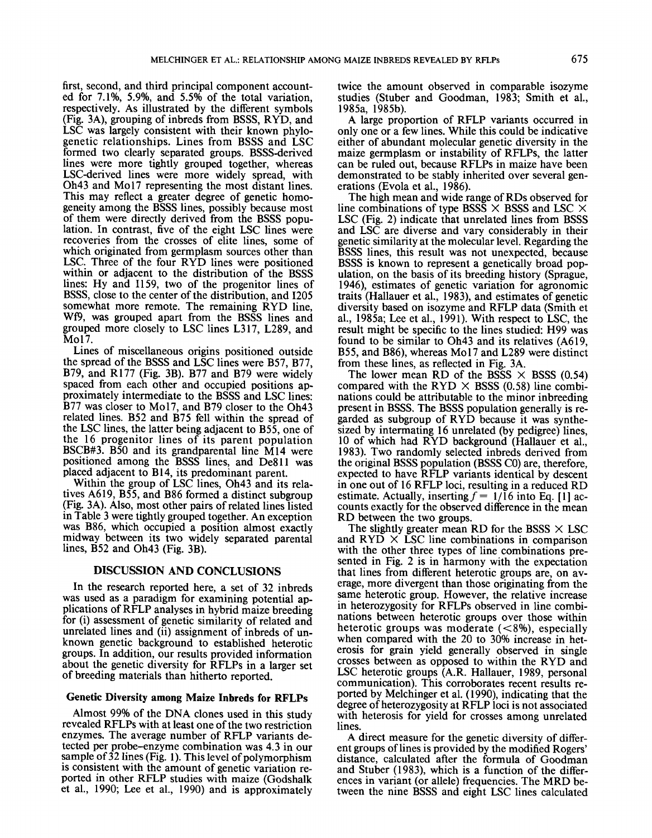first, second, and third principal component accounted for 7.1%, 5.9%, and 5.5% of the total variation, respectively. As illustrated by the different symbols (Fig. 3A), grouping of inbreds from BSSS, RYD, and LSC was largely consistent with their known phylogenetic relationships. Lines from BSSS and LSC formed two clearly separated groups. BSSS-derived lines were more tightly grouped together, whereas LSC-derived lines were more widely spread, with Oh43 and Mo17 representing the most distant lines. This may reflect a greater degree of genetic homogeneity among the BSSS lines, possibly because most of them were directly derived from the BSSS population. In contrast, five of the eight LSC lines were recoveries from the crosses of elite lines, some of which originated from germplasm sources other than LSC. Three of the four RYD lines were positioned within or adjacent to the distribution of the BSSS lines: Hy and I159, two of the progenitor lines of BSSS, close to the center of the distribution, and I205 somewhat more remote. The remaining RYD line, Wf9, was grouped apart from the BSSS lines and grouped more closely to LSC lines L317, L289, and Mol7.

Lines of miscellaneous origins positioned outside the spread of the BSSS and LSC lines were B57, B77, B79, and R177 (Fig. 3B). B77 and B79 were widely spaced from each other and occupied positions approximately intermediate to the BSSS and LSC lines: B77 was closer to Mo17, and B79 closer to the Oh43 related lines. B52 and B75 fell within the spread of the LSC lines, the latter being adjacent to B55, one of the 16 progenitor lines of its parent population BSCB#3. BS0 and its grandparental line M14 were positioned among the BSSS lines, and DeS11 was placed adjacent to B14, its predominant parent.

Within the group of LSC lines, Oh43 and its relatives A619, B55, and B86 formed a distinct subgroup .(Fig. 3A). Also, most other pairs of related lines listed in Table 3 were tightly grouped together. An exception was B86, which occupied a position almost exactly midway between its two widely separated parental lines, B52 and Oh43 (Fig. 3B).

# DISCUSSION AND CONCLUSIONS

In the research reported here, a set of 32 inbreds was used as a paradigm for examining potential applications of RFLP analyses in hybrid maize breeding for (i) assessment of genetic similarity of related and unrelated lines and (ii) assignment of inbreds of unknown genetic background to established heterotic groups. In addition, our results provided information about the genetic diversity for RFLPs in a larger set of breeding materials than hitherto reported.

# **Genetic Diversity among Maize Inbreds for RFLPs**

Almost 99% of the DNA clones used in this study revealed RFLPs with at least one of the two restriction enzymes. The average number of RFLP variants detected per probe-enzyme combination was 4.3 in our sample of  $32$  lines (Fig. 1). This level of polymorphism is consistent with the amount of genetic variation reported in other RFLP studies with maize (Godshalk et al., 1990; Lee et al., 1990) and is approximately

twice the amount observed in comparable isozyme studies (Stuber and Goodman, 1983; Smith et al., 1985a, 1985b).

A large proportion of RFLP variants occurred in only one or a few lines. While this could be indicative either of abundant molecular genetic diversity in the maize germplasm or instability of RFLPs, the latter can be ruled out, because RFLPs in maize have been demonstrated to be stably inherited over several generations (Evola et al., 1986).

The high mean and wide range of RDs observed for line combinations of type BSSS  $\times$  BSSS and LSC  $\times$ LSC (Fig. 2) indicate that unrelated lines from BSSS and LSC are diverse and vary considerably in their genetic similarity at the molecular level. Regarding the BSSS lines, this result was not unexpected, because BSSS is known to represent a genetically broad population, on the basis of its breeding history (Sprague, 1946), estimates of genetic variation for agronomic traits (Hallauer et al., 1983), and estimates of genetic diversity based on isozyme and RFLP data (Smith et al., 1985a; Lee et al., 1991). With respect to LSC, the result might be specific to the lines studied: H99 was found to be similar to Oh43 and its relatives (A619, B55, and B86), whereas Mo17 and L289 were distinct from these lines, as reflected in Fig. 3A.

The lower mean RD of the BSSS  $\times$  BSSS (0.54) compared with the RYD  $\times$  BSSS (0.58) line combinations could be attributable to the minor inbreeding present in BSSS. The BSSS population generally is regarded as subgroup of RYD because it was synthesized by intermating 16 unrelated (by pedigree) lines, l0 of which had RYD background (Hallauer et al., 1983). Two randomly selected inbreds derived from the original BSSS population (BSSS CO) are, therefore, expected to have RFLP variants identical by descent in one out of 16 RFLP loci, resulting in a reduced RD estimate. Actually, inserting  $f = 1/16$  into Eq. [1] accounts exactly for the observed difference in the mean RD between the two groups.

The slightly greater mean RD for the BSSS  $\times$  LSC and  $RYD \times LSC$  line combinations in comparison with the other three types of line combinations presented in Fig. 2 is in harmony with the expectation that lines from different heterotic groups are, on average, more divergent than those originating from the same heterotic group. However, the relative increase in heterozygosity for RFLPs observed in line combinations between heterotic groups over those within heterotic groups was moderate  $(<8\%)$ , especially when compared with the 20 to 30% increase in heterosis for grain yield generally observed in single crosses between as opposed to within the RYD and LSC heterotic groups (A.R. Hallauer, 1989, personal communication). This corroborates recent results reported by Melchinger et al. (1990), indicating that the degree of heterozygosity at RFLP loci is not associated with heterosis for yield for crosses among unrelated lines.

A direct measure for the genetic diversity of different groups of lines is provided by the modified Rogers' distance, calculated after the formula of Goodman and Stuber (1983), which is a function of the differences in variant (or allele) frequencies. The MRD between the nine BSSS and eight LSC lines calculated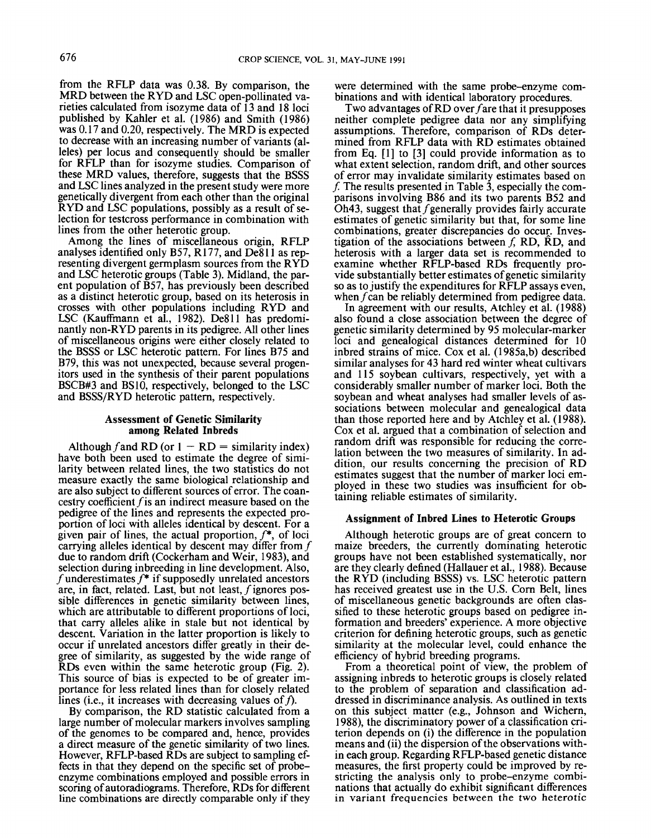from the RFLP data was 0.38. By comparison, the MRD between the RYD and LSC open-pollinated varieties calculated from isozyme data of 13 and 18 loci published by Kahler et al. (1986) and Smith (1986) was 0.17 and 0.20, respectively. The MRD is expected to decrease with an increasing number of variants (alleles) per locus and consequently should be smaller for RFLP than for isozyme studies. Comparison of these MRD values, therefore, suggests that the BSSS and LSC lines analyzed in the present study were more genetically divergent from each other than the original RYD and LSC populations, possibly as a result of selection for testcross performance in combination with lines from the other heterotic group.

Among the lines of miscellaneous origin, RFLP analyses identified only B57, R177, and De811 as representing divergent germplasm sources from the RYD and LSC heterotic groups (Table 3). Midland, the parent population of B57, has previously been described as a distinct heterotic group, based on its heterosis in crosses with other populations including RYD and LSC (Kauffmann et al., 1982). De811 has predominantly non-RYD parents in its pedigree. All other lines of miscellaneous origins were either closely related to the BSSS or LSC heterotic pattern. For lines B75 and B79, this was not unexpected, because several progenitors used in the synthesis of their parent populations BSCB#3 and BS10, respectively, belonged to the LSC and BSSS/RYD heterotic pattern, respectively.

# **Assessment of Genetic Similarity among Related Inbreds**

Although f and RD (or  $1 - RD =$  similarity index) have both been used to estimate the degree of similarity between related lines, the two statistics do not measure exactly the same biological relationship and are also subject to different sources of error. The coancestry coefficient fis an indirect measure based on the pedigree of the lines and represents the expected proportion of loci with alleles identical by descent. For a given pair of lines, the actual proportion,  $f^*$ , of loci carrying alleles identical by descent may differ from  $f$ due to random drift (Cockerham and Weir, 1983), and selection during inbreeding in line development. Also, f underestimates  $f^*$  if supposedly unrelated ancestors are, in fact, related. Last, but not least,  $f$  ignores possible differences in genetic similarity between lines, which are attributable to different proportions of loci, that carry alleles alike in stale but not identical by descent. Variation in the latter proportion is likely to occur if unrelated ancestors differ greatly in their degree of similarity, as suggested by the wide range of RDs even within the same heterotic group (Fig. 2). This source of bias is expected to be of greater importance for less related lines than for closely related lines (i.e., it increases with decreasing values of  $f$ ).

By comparison, the RD statistic calculated from a large number of molecular markers involves sampling of the genomes to be compared and, hence, provides a direct measure of the genetic similarity of two lines. However, RFLP-based RDs are subject to sampling effects in that they depend on the specific set of probeenzyme combinations employed and possible errors in scoring of autoradiograms. Therefore, RDs for different line combinations are directly comparable only if they

were determined with the same probe-enzyme combinations and with identical laboratory procedures.

Two advantages of RD over fare that it presupposes neither complete pedigree data nor any simplifying assumptions. Therefore, comparison of RDs determined from RFLP data with RD estimates obtained from Eq. [1] to [3] could provide information as to what extent selection, random drift, and other sources of error may invalidate similarity estimates based on f. The results presented in Table 3, especially the comparisons involving B86 and its two parents B52 and Oh43, suggest that f generally provides fairly accurate estimates of genetic similarity but that, for some line combinations, greater discrepancies do occur. Investigation of the associations between  $f$ , RD, RD, and heterosis with a larger data set is recommended to examine whether RFLP-based RDs frequently provide substantially better estimates of genetic similarity so as to justify the expenditures for RFLP assays even, when f can be reliably determined from pedigree data.

In agreement with our results, Atchley et al. (1988) also found a close association between the degree of genetic similarity determined by 95 molecular-marker loci and genealogical distances determined for 10 inbred strains of mice. Cox et al. (1985a,b) described similar analyses for 43 hard red winter wheat cultivars and 115 soybean cultivars, respectively, yet with a considerably smaller number of marker loci. Both the soybean and wheat analyses had smaller levels of associations between molecular and genealogical data than those reported here and by Atchley et al. (1988). Cox et al. argued that a combination of selection and random drift was responsible for reducing the correlation between the two measures of similarity. In addition, our results concerning the precision of RD estimates suggest that the number of marker loci employed in these two studies was insufficient for obtaining reliable estimates of similarity.

#### **Assignment of Inbred Lines to Heterotic Groups**

Although heterotic groups are of great concern to maize breeders, the currently dominating heterotic groups have not been established systematically, nor are they clearly defined (Hallauer et al., 1988). Because the RYD (including BSSS) vs. LSC heterotic pattern has received greatest use in the U.S. Corn Belt, lines of miscellaneous genetic backgrounds are often classified to these heterotic groups based on pedigree information and breeders' experience. A more objective criterion for defining heterotic groups, such as genetic similarity at the molecular level, could enhance the efficiency of hybrid breeding programs.

From a theoretical point of view, the problem of assigning inbreds to heterotic groups is closely related to the problem of separation and classification addressed in discriminance analysis. As outlined in texts on this subject matter (e.g., Johnson and Wichern, 1988), the discriminatory power of a classification criterion depends on (i) the difference in the population means and (ii) the dispersion of the observations within each group. Regarding RFLP-based genetic distance measures, the first property could be improved by restricting the analysis only to probe-enzyme combinations that actually do exhibit significant differences in variant frequencies between the two heterotic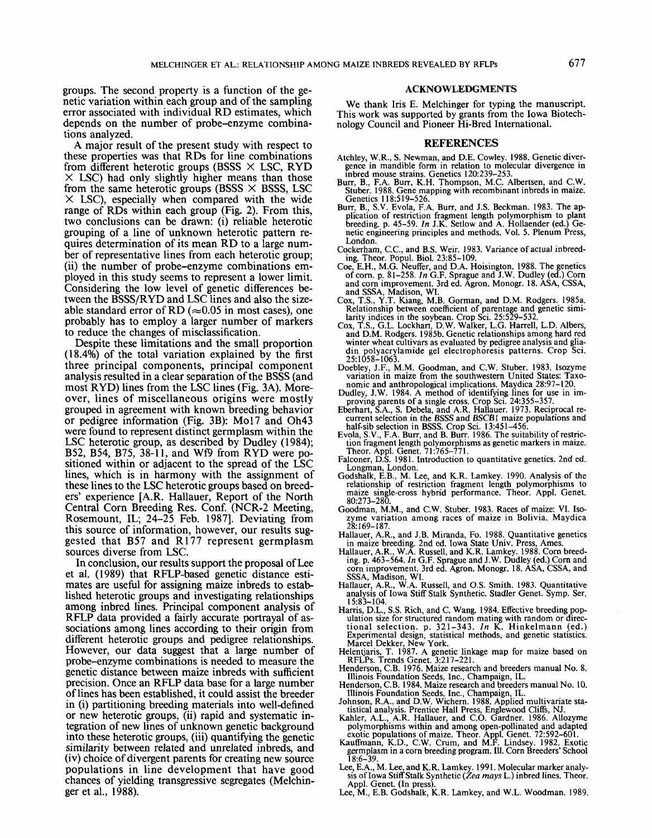groups. The second property is a function of the genetic variation within each group and of the sampling error associated with individual RD estimates, which depends on the number of probe-enzyme combinations analyzed.

A major result of the present study with respect to these properties was that RDs for line combinations from different heterotic groups (BSSS  $\times$  LSC, RYD  $\times$  LSC) had only slightly higher means than those from the same heterotic groups (BSSS  $\times$  BSSS, LSC  $\times$  LSC), especially when compared with the wide range of RDs within each group (Fig. 2). From this, two conclusions can be drawn: (i) reliable heterotic grouping of a line of unknown heterotic pattern requires determination of its mean RD to a large number of representative lines from each heterotic group; (ii) the number of probe-enzyme combinations employed in this study seems to represent a lower limit. Considering the low level of genetic differences between the BSSS/RYD and LSC lines and also the sizeable standard error of RD ( $\approx 0.05$  in most cases), one probably has to employ a larger number of markers to reduce the changes of misclassification.

Despite these limitations and the small proportion (18.4%) of the total variation explained by the first three principal components, principal component analysis resulted in a clear separation of the BSSS (and most RYD) lines from the LSC lines (Fig. 3A). Moreover, lines of miscellaneous origins were mostly grouped in agreement with known breeding behavior or pedigree information (Fig. 3B): Mo17 and Oh43 were found to represent distinct germplasm within the LSC heterotic group, as described by Dudley (1984);<br>B52, B54, B75, 38-11, and Wf9 from RYD were positioned within or adjacent to the spread of the LSC lines, which is in harmony with the assignment of these lines to the LSC heterotic groups based on breeders' experience [A.R. Hallauer, Report of the North Central Corn Breeding Res. Conf. (NCR-2 Meeting, Rosemount, IL; 24-25 Feb. 1987]. Deviating from this source of information, however, our results suggested that B57 and R177 represent germplasm sources diverse from LSC.

In conclusion, our results support the proposal of Lee et al. (1989) that RFLP-based genetic distance estimates are useful for assigning maize inbreds to established heterotic groups and investigating relationships among inbred lines. Principal component analysis of RFLP data provided a fairly accurate portrayal of associations among lines according to their origin from different heterotic groups and pedigree relationships. However, our data suggest that a large number of probe-enzyme combinations is needed to measure the genetic distance between maize inbreds with sufficient precision. Once an RFLP data base for a large number of lines has been established, it could assist the breeder in (i) partitioning breeding materials into well-defined or new heterotic groups, (ii) rapid and systematic integration of new lines of unknown genetic background into these heterotic groups, (iii) quantifying the genetic similarity between related and unrelated inbreds, and (iv) choice of divergent parents for creating new source populations in line development that have good chances of yielding transgressive segregates (Melchinger et al., 1988).

#### **ACKNOWLEDGMENTS**

We thank Iris E. Melchinger for typing the manuscript. This work was supported by grants from the Iowa Biotechnology Council and Pioneer Hi-Bred International.

### **REFERENCES**

- Atchley, W.R., S. Newman, and D.E. Cowley. 1988. Genetic divergence in mandible form in relation to molecular divergence in inbred mouse strains. Genetics 120:239-253
- Burr, B., F.A. Burr, K.H. Thompson, M.C. Albertsen, and C.W. Stuber. 1988. Gene mapping with recombinant inbreds in maize. Genetics 118:519-526.
- Burr, B., S.V. Evola, F.A. Burr, and J.S. Beckman. 1983. The application of restriction fragment length polymorphism to plant breeding. p. 45-59. In J.K. Setlow and A. Hollaender (ed.) Genetic engineering principles and methods. Vol. 5. Plenum Press, London.
- Cockerham, C.C., and B.S. Weir. 1983. Variance of actual inbreeding. Theor. Popul. Biol. 23:85-109.
- Coe, E.H., M.G. Neuffer, and D.A. Hoisington. 1988. The genetics<br>of corn. p. 81–258. In G.F. Sprague and J.W. Dudley (ed.) Corn and corn improvement. 3rd ed. Agron. Monogr. 18. ASA, CSSA, and SSSA, Madison, WI.<br>Cox, T.S., Y.T. Kiang, M.B. Gorman, and D.M. Rodgers. 1985a.
- Relationship between coefficient of parentage and genetic simi-
- Reductionship of the soybean. Crop Sci. 25:529-532.<br>Day, T.S., G.L. Lockhart, D.W. Walker, L.G. Harrell, L.D. Albers, and D.M. Rodgers. 1985b. Genetic relationships among hard red  $Cox.$  T winter wheat cultivars as evaluated by pedigree analysis and gliadin polyacrylamide gel electrophoresis patterns. Crop Sci. 25:1058-1063
- Doebley, J.F., M.M. Goodman, and C.W. Stuber. 1983. Isozyme variation in maize from the southwestern United States: Taxo-<br>nomic and anthropological implications. Maydica 28:97-120.
- 
- Dudley, J.W. 1984. A method of identifying lines for use in im-<br>proving parents of a single cross. Crop Sci. 24:355–357.<br>Eberhart, S.A., S. Debela, and A.R. Hallauer. 1973. Reciprocal re-<br>current selection in the BSSS and
- half-sib selection in BSSS. Crop Sci. 13:451-456.<br>Evola, S.V., F.A. Burr, and B. Burr. 1986. The suitability of restric-Evola, S. C., C., Louis, and B. Buri. 1980. The suitability of restriction fragment length polymorphisms as genetic markers in maize.<br>Theor. Appl. Genet. 71:765-771.<br>Falconer, D.S. 1981. Introduction to quantitative geneti
- 
- Godshalk, E.B., M. Lee, and K.R. Lamkey. 1990. Analysis of the relationship of restriction fragment length polymorphisms to maize single-cross hybrid performance. Theor. Appl. Genet.  $80:273 - 280$
- Goodman, M.M., and C.W. Stuber. 1983. Races of maize: VI. Isozyme variation among races of maize in Bolivia. Maydica 28:169–187.
- Hallauer, A.R., and J.B. Miranda, Fo. 1988. Quantitative genetics
- in maize breeding. 2nd ed. Iowa State Univ. Press, Ames.<br>Hallauer, A.R., W.A. Russell, and K.R. Lamkey. 1988. Corn breeding. p. 463–564. In G.F. Sprague and J.W. Dudley (ed.) Corn and corn improvement. 3rd ed. Agron. Monogr. 18. ASA, CSSA, and SSSA, Madison, WI.<br>Hallauer, A.R., W.A. Russell, and O.S. Smith. 1983. Quantitative
- analysis of Iowa Stiff Stalk Synthetic. Stadler Genet. Symp. Ser.  $15:83 - 104$
- Harris, D.L., S.S. Rich, and C. Wang. 1984. Effective breeding pop-Harris, D.L., S.S. Rich, and C. wang. 1984. Euccuve breeding pop-<br>ulation size for structured random mating with random or direc-<br>tional selection. p. 321–343. In K. Hinkelmann (ed.)<br>Experimental design, statistical method
- 
- Henderson, C.B. 1976. Maize research and breeders manual No. 8.<br>Illinois Foundation Seeds, Inc., Champaign, IL.<br>Illinois Foundation Seeds, Inc., Champaign, IL.
- 
- 
- Illinois Foundation Seeds, Inc., Champaign, 11.<br>Henderson, C.B. 1984. Maize research and breeders manual No. 10.<br>Illinois Foundation Seeds, Inc., Champaign, IL.<br>Johnson, R.A., and D.W. Wichern. 1988. Applied multivariate s exotic populations of maize. Theor. Appl. Genet. 72:592-601.<br>Kauffmann, K.D., C.W. Crum, and M.F., Lindsey. 1982. Exotic
- germplasm in a corn breeding program. Ill. Corn Breeders' School 18:6-39.
- Lee, E.A., M. Lee, and K.R. Lamkey. 1991. Molecular marker analysis of Iowa Stiff Stalk Synthetic (Zea mays L.) inbred lines. Theor. Appl. Genet. (In press).<br>Lee, M., E.B. Godshalk, K.R. Lamkey, and W.L. Woodman. 1989.
-